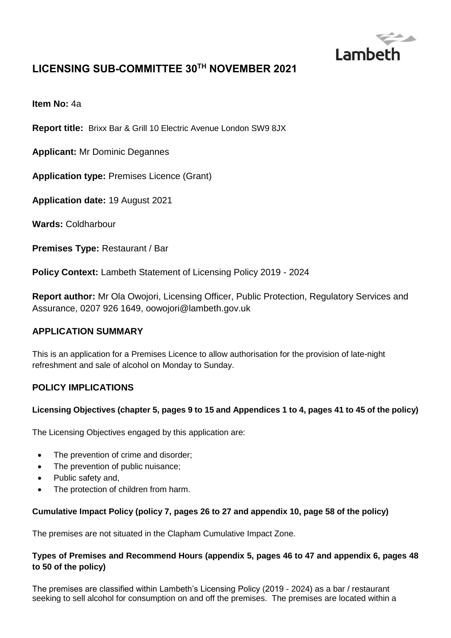

# **LICENSING SUB-COMMITTEE 30 TH NOVEMBER 2021**

**Item No:** 4a

**Report title:** Brixx Bar & Grill 10 Electric Avenue London SW9 8JX

**Applicant:** Mr Dominic Degannes

**Application type:** Premises Licence (Grant)

**Application date:** 19 August 2021

**Wards:** Coldharbour

**Premises Type:** Restaurant / Bar

**Policy Context:** Lambeth Statement of Licensing Policy 2019 - 2024

**Report author:** Mr Ola Owojori, Licensing Officer, Public Protection, Regulatory Services and Assurance, 0207 926 1649, oowojori@lambeth.gov.uk

### **APPLICATION SUMMARY**

This is an application for a Premises Licence to allow authorisation for the provision of late-night refreshment and sale of alcohol on Monday to Sunday.

## **POLICY IMPLICATIONS**

#### **Licensing Objectives (chapter 5, pages 9 to 15 and Appendices 1 to 4, pages 41 to 45 of the policy)**

The Licensing Objectives engaged by this application are:

- The prevention of crime and disorder;
- The prevention of public nuisance;
- Public safety and,
- The protection of children from harm.

#### **Cumulative Impact Policy (policy 7, pages 26 to 27 and appendix 10, page 58 of the policy)**

The premises are not situated in the Clapham Cumulative Impact Zone.

### **Types of Premises and Recommend Hours (appendix 5, pages 46 to 47 and appendix 6, pages 48 to 50 of the policy)**

The premises are classified within Lambeth's Licensing Policy (2019 - 2024) as a bar / restaurant seeking to sell alcohol for consumption on and off the premises. The premises are located within a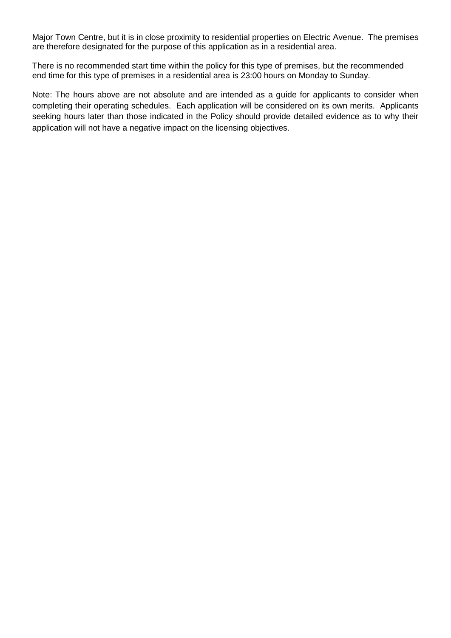Major Town Centre, but it is in close proximity to residential properties on Electric Avenue. The premises are therefore designated for the purpose of this application as in a residential area.

There is no recommended start time within the policy for this type of premises, but the recommended end time for this type of premises in a residential area is 23:00 hours on Monday to Sunday.

Note: The hours above are not absolute and are intended as a guide for applicants to consider when completing their operating schedules. Each application will be considered on its own merits. Applicants seeking hours later than those indicated in the Policy should provide detailed evidence as to why their application will not have a negative impact on the licensing objectives.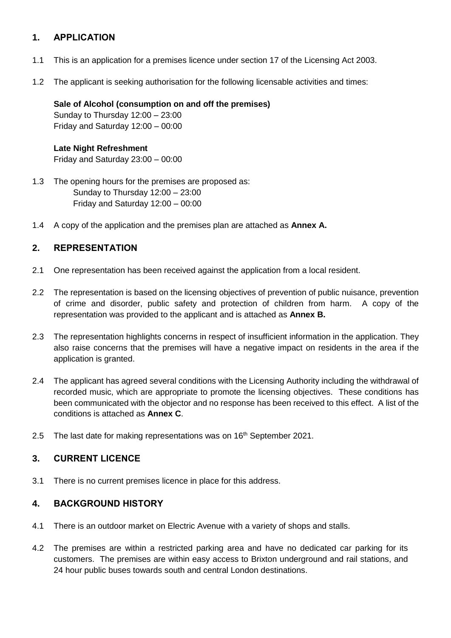# **1. APPLICATION**

- 1.1 This is an application for a premises licence under section 17 of the Licensing Act 2003.
- 1.2 The applicant is seeking authorisation for the following licensable activities and times:

### **Sale of Alcohol (consumption on and off the premises)**

Sunday to Thursday 12:00 – 23:00 Friday and Saturday 12:00 – 00:00

#### **Late Night Refreshment**

Friday and Saturday 23:00 – 00:00

- 1.3 The opening hours for the premises are proposed as: Sunday to Thursday 12:00 – 23:00 Friday and Saturday 12:00 – 00:00
- 1.4 A copy of the application and the premises plan are attached as **Annex A.**

## **2. REPRESENTATION**

- 2.1 One representation has been received against the application from a local resident.
- 2.2 The representation is based on the licensing objectives of prevention of public nuisance, prevention of crime and disorder, public safety and protection of children from harm. A copy of the representation was provided to the applicant and is attached as **Annex B.**
- 2.3 The representation highlights concerns in respect of insufficient information in the application. They also raise concerns that the premises will have a negative impact on residents in the area if the application is granted.
- 2.4 The applicant has agreed several conditions with the Licensing Authority including the withdrawal of recorded music, which are appropriate to promote the licensing objectives. These conditions has been communicated with the objector and no response has been received to this effect. A list of the conditions is attached as **Annex C**.
- 2.5 The last date for making representations was on 16<sup>th</sup> September 2021.

## **3. CURRENT LICENCE**

3.1 There is no current premises licence in place for this address.

# **4. BACKGROUND HISTORY**

- 4.1 There is an outdoor market on Electric Avenue with a variety of shops and stalls.
- 4.2 The premises are within a restricted parking area and have no dedicated car parking for its customers. The premises are within easy access to Brixton underground and rail stations, and 24 hour public buses towards south and central London destinations.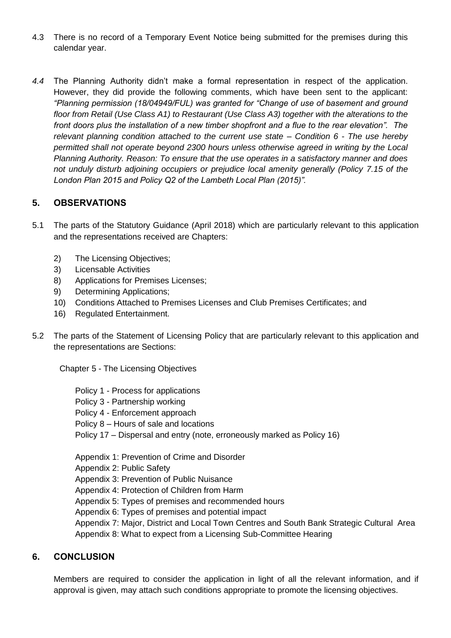- 4.3 There is no record of a Temporary Event Notice being submitted for the premises during this calendar year.
- *4.4* The Planning Authority didn't make a formal representation in respect of the application. However, they did provide the following comments, which have been sent to the applicant: *"Planning permission (18/04949/FUL) was granted for "Change of use of basement and ground floor from Retail (Use Class A1) to Restaurant (Use Class A3) together with the alterations to the front doors plus the installation of a new timber shopfront and a flue to the rear elevation". The relevant planning condition attached to the current use state – Condition 6 - The use hereby permitted shall not operate beyond 2300 hours unless otherwise agreed in writing by the Local Planning Authority. Reason: To ensure that the use operates in a satisfactory manner and does not unduly disturb adjoining occupiers or prejudice local amenity generally (Policy 7.15 of the London Plan 2015 and Policy Q2 of the Lambeth Local Plan (2015)".*

## **5. OBSERVATIONS**

- 5.1 The parts of the Statutory Guidance (April 2018) which are particularly relevant to this application and the representations received are Chapters:
	- 2) The Licensing Objectives;
	- 3) Licensable Activities
	- 8) Applications for Premises Licenses;
	- 9) Determining Applications;
	- 10) Conditions Attached to Premises Licenses and Club Premises Certificates; and
	- 16) Regulated Entertainment.
- 5.2 The parts of the Statement of Licensing Policy that are particularly relevant to this application and the representations are Sections:

Chapter 5 - The Licensing Objectives

- Policy 1 Process for applications
- Policy 3 Partnership working
- Policy 4 Enforcement approach
- Policy 8 Hours of sale and locations
- Policy 17 Dispersal and entry (note, erroneously marked as Policy 16)

Appendix 1: Prevention of Crime and Disorder

Appendix 2: Public Safety

- Appendix 3: Prevention of Public Nuisance
- Appendix 4: Protection of Children from Harm
- Appendix 5: Types of premises and recommended hours
- Appendix 6: Types of premises and potential impact

Appendix 7: Major, District and Local Town Centres and South Bank Strategic Cultural Area Appendix 8: What to expect from a Licensing Sub-Committee Hearing

## **6. CONCLUSION**

Members are required to consider the application in light of all the relevant information, and if approval is given, may attach such conditions appropriate to promote the licensing objectives.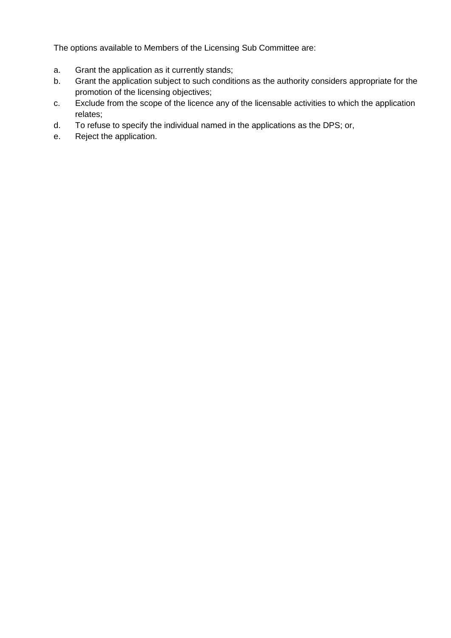The options available to Members of the Licensing Sub Committee are:

- a. Grant the application as it currently stands;
- b. Grant the application subject to such conditions as the authority considers appropriate for the promotion of the licensing objectives;
- c. Exclude from the scope of the licence any of the licensable activities to which the application relates;
- d. To refuse to specify the individual named in the applications as the DPS; or,
- e. Reject the application.